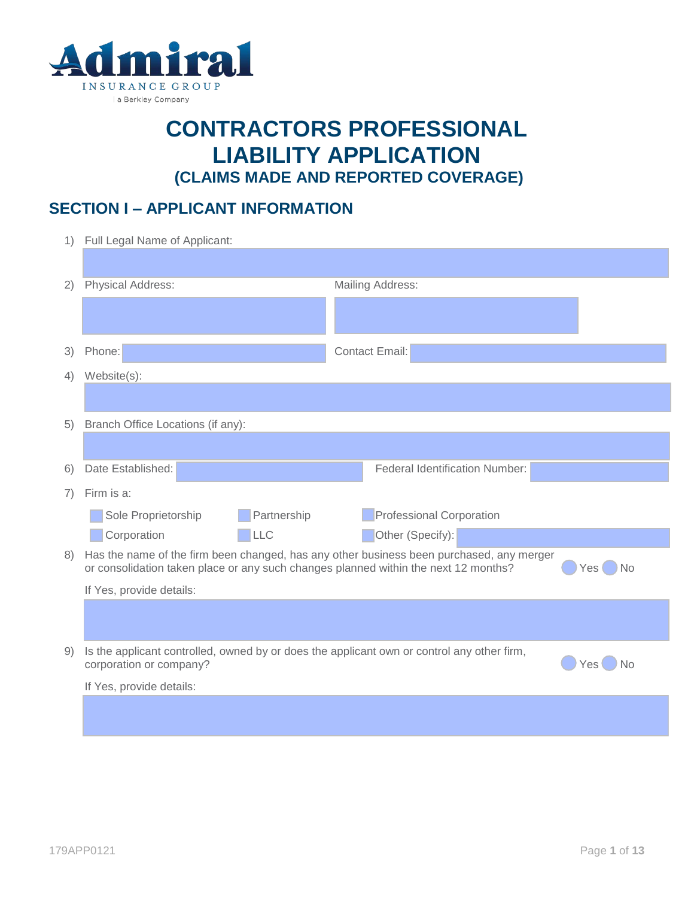

# **CONTRACTORS PROFESSIONAL LIABILITY APPLICATION (CLAIMS MADE AND REPORTED COVERAGE)**

## **SECTION I – APPLICANT INFORMATION**

| 1) | Full Legal Name of Applicant:                                                                                                                                                   |                                       |  |  |  |  |
|----|---------------------------------------------------------------------------------------------------------------------------------------------------------------------------------|---------------------------------------|--|--|--|--|
|    |                                                                                                                                                                                 |                                       |  |  |  |  |
| 2) | <b>Physical Address:</b>                                                                                                                                                        | Mailing Address:                      |  |  |  |  |
|    |                                                                                                                                                                                 |                                       |  |  |  |  |
| 3) | Phone:                                                                                                                                                                          | <b>Contact Email:</b>                 |  |  |  |  |
| 4) | Website(s):                                                                                                                                                                     |                                       |  |  |  |  |
|    |                                                                                                                                                                                 |                                       |  |  |  |  |
| 5) | Branch Office Locations (if any):                                                                                                                                               |                                       |  |  |  |  |
|    |                                                                                                                                                                                 |                                       |  |  |  |  |
| 6) | Date Established:                                                                                                                                                               | <b>Federal Identification Number:</b> |  |  |  |  |
| 7) | Firm is a:                                                                                                                                                                      |                                       |  |  |  |  |
|    | Partnership<br>Sole Proprietorship                                                                                                                                              | <b>Professional Corporation</b>       |  |  |  |  |
|    | Corporation<br><b>LLC</b>                                                                                                                                                       | Other (Specify):                      |  |  |  |  |
| 8) | Has the name of the firm been changed, has any other business been purchased, any merger<br>or consolidation taken place or any such changes planned within the next 12 months? | <b>No</b><br>Yes I                    |  |  |  |  |
|    | If Yes, provide details:                                                                                                                                                        |                                       |  |  |  |  |
|    |                                                                                                                                                                                 |                                       |  |  |  |  |
| 9) | Is the applicant controlled, owned by or does the applicant own or control any other firm,<br>corporation or company?                                                           | Yes <sup>(</sup><br>No                |  |  |  |  |
|    | If Yes, provide details:                                                                                                                                                        |                                       |  |  |  |  |
|    |                                                                                                                                                                                 |                                       |  |  |  |  |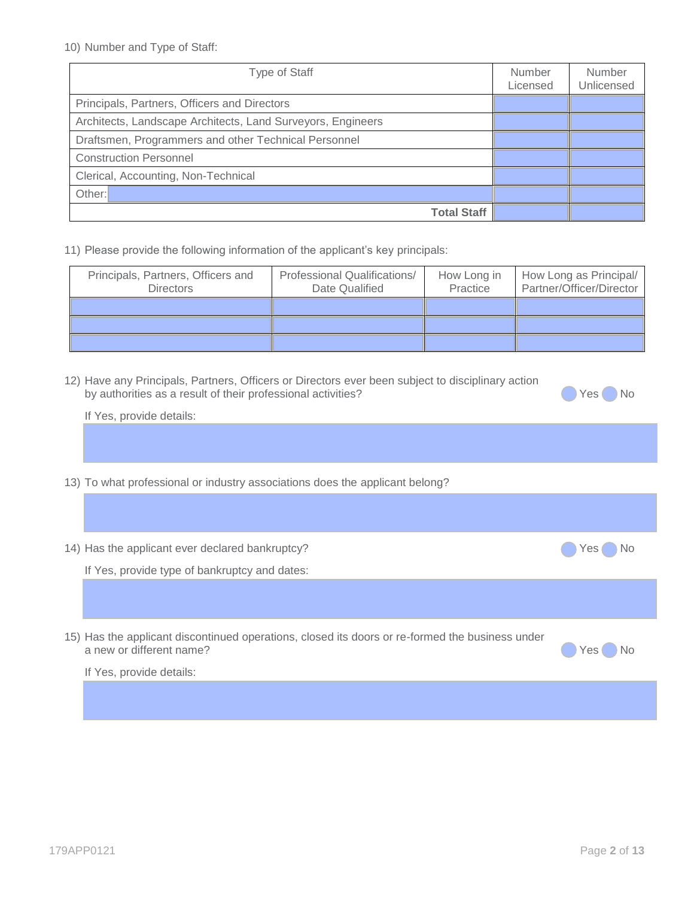10) Number and Type of Staff:

| <b>Type of Staff</b>                                        | <b>Number</b><br>Licensed | Number<br>Unlicensed |
|-------------------------------------------------------------|---------------------------|----------------------|
| Principals, Partners, Officers and Directors                |                           |                      |
| Architects, Landscape Architects, Land Surveyors, Engineers |                           |                      |
| Draftsmen, Programmers and other Technical Personnel        |                           |                      |
| <b>Construction Personnel</b>                               |                           |                      |
| Clerical, Accounting, Non-Technical                         |                           |                      |
| Other:                                                      |                           |                      |
| <b>Total Staff</b>                                          |                           |                      |

11) Please provide the following information of the applicant's key principals:

| Principals, Partners, Officers and<br><b>Directors</b> | <b>Professional Qualifications/</b><br>Date Qualified | How Long in<br>Practice | How Long as Principal/<br>Partner/Officer/Director |
|--------------------------------------------------------|-------------------------------------------------------|-------------------------|----------------------------------------------------|
|                                                        |                                                       |                         |                                                    |
|                                                        |                                                       |                         |                                                    |
|                                                        |                                                       |                         |                                                    |

| 12) Have any Principals, Partners, Officers or Directors ever been subject to disciplinary action |  |  |  |
|---------------------------------------------------------------------------------------------------|--|--|--|
| by authorities as a result of their professional activities?                                      |  |  |  |



If Yes, provide details:

13) To what professional or industry associations does the applicant belong?

| 14) Has the applicant ever declared bankruptcy?                                                                             | ) No<br>Yes<br>n C |
|-----------------------------------------------------------------------------------------------------------------------------|--------------------|
| If Yes, provide type of bankruptcy and dates:                                                                               |                    |
|                                                                                                                             |                    |
| 15) Has the applicant discontinued operations, closed its doors or re-formed the business under<br>a new or different name? | → No<br>Yes I      |
| If Yes, provide details:                                                                                                    |                    |
|                                                                                                                             |                    |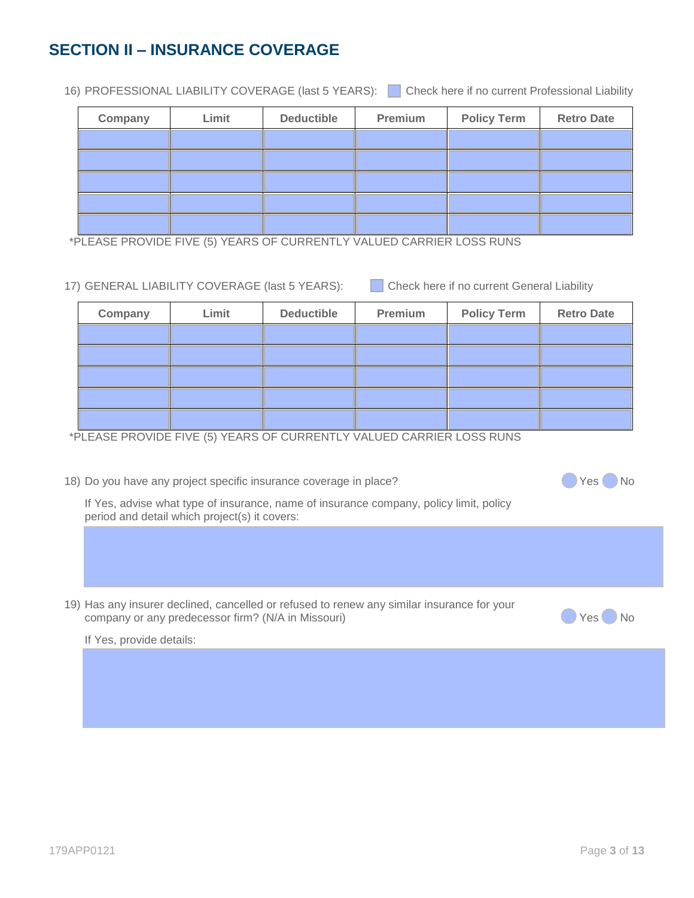## **SECTION II – INSURANCE COVERAGE**

16) PROFESSIONAL LIABILITY COVERAGE (last 5 YEARS): Check here if no current Professional Liability

| Company | Limit | <b>Deductible</b> | Premium | <b>Policy Term</b> | <b>Retro Date</b> |
|---------|-------|-------------------|---------|--------------------|-------------------|
|         |       |                   |         |                    |                   |
|         |       |                   |         |                    |                   |
|         |       |                   |         |                    |                   |
|         |       |                   |         |                    |                   |
|         |       |                   |         |                    |                   |

\*PLEASE PROVIDE FIVE (5) YEARS OF CURRENTLY VALUED CARRIER LOSS RUNS

|  | 17) GENERAL LIABILITY COVERAGE (last 5 YEARS): |  |
|--|------------------------------------------------|--|
|  |                                                |  |

Check here if no current General Liability

| Company | Limit | <b>Deductible</b> | Premium | <b>Policy Term</b> | <b>Retro Date</b> |
|---------|-------|-------------------|---------|--------------------|-------------------|
|         |       |                   |         |                    |                   |
|         |       |                   |         |                    |                   |
|         |       |                   |         |                    |                   |
|         |       |                   |         |                    |                   |
|         |       |                   |         |                    |                   |

\*PLEASE PROVIDE FIVE (5) YEARS OF CURRENTLY VALUED CARRIER LOSS RUNS

18) Do you have any project specific insurance coverage in place?

If Yes, advise what type of insurance, name of insurance company, policy limit, policy period and detail which project(s) it covers:

19) Has any insurer declined, cancelled or refused to renew any similar insurance for your company or any predecessor firm? (N/A in Missouri) Channel and the state of the Ves No

If Yes, provide details: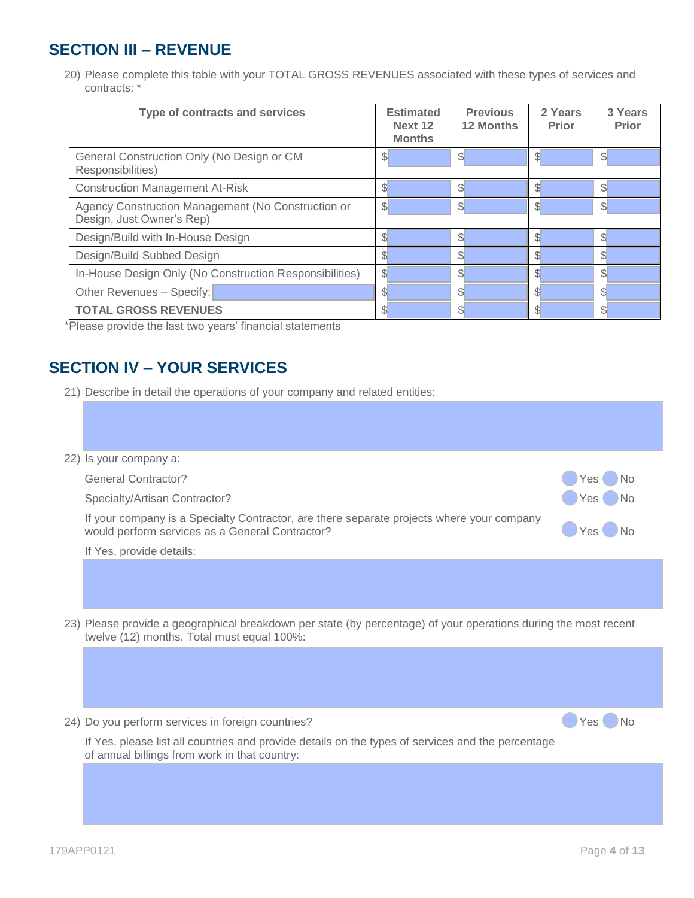## **SECTION III – REVENUE**

20) Please complete this table with your TOTAL GROSS REVENUES associated with these types of services and contracts: \*

| Type of contracts and services                                                  | <b>Estimated</b><br>Next 12<br><b>Months</b> | <b>Previous</b><br><b>12 Months</b> | 2 Years<br><b>Prior</b> | 3 Years<br><b>Prior</b> |
|---------------------------------------------------------------------------------|----------------------------------------------|-------------------------------------|-------------------------|-------------------------|
| General Construction Only (No Design or CM<br>Responsibilities)                 | \$                                           | \$                                  | \$                      | ъ                       |
| <b>Construction Management At-Risk</b>                                          | S                                            | S.                                  | \$l                     | ß.                      |
| Agency Construction Management (No Construction or<br>Design, Just Owner's Rep) | \$                                           | $\mathbb{S}$                        | $\mathbb{S}^1$          | $\mathbb{S}^1$          |
| Design/Build with In-House Design                                               | \$.                                          | Я.                                  | \$                      | ß.                      |
| Design/Build Subbed Design                                                      |                                              |                                     |                         | ß.                      |
| In-House Design Only (No Construction Responsibilities)                         | \$                                           |                                     | \$.                     |                         |
| Other Revenues - Specify:                                                       |                                              |                                     |                         | സ                       |
| <b>TOTAL GROSS REVENUES</b>                                                     |                                              |                                     |                         | S.                      |

\*Please provide the last two years' financial statements

## **SECTION IV – YOUR SERVICES**

21) Describe in detail the operations of your company and related entities:

| 22) Is your company a:                                                                                                                                        |                        |
|---------------------------------------------------------------------------------------------------------------------------------------------------------------|------------------------|
| <b>General Contractor?</b>                                                                                                                                    | N <sub>0</sub><br>Yes. |
| Specialty/Artisan Contractor?                                                                                                                                 | No<br>Yes.             |
| If your company is a Specialty Contractor, are there separate projects where your company<br>would perform services as a General Contractor?                  | Yes                    |
| If Yes, provide details:                                                                                                                                      |                        |
|                                                                                                                                                               |                        |
| 23) Please provide a geographical breakdown per state (by percentage) of your operations during the most recent<br>twelve (12) months. Total must equal 100%: |                        |
|                                                                                                                                                               |                        |
| 24) Do you perform services in foreign countries?                                                                                                             | Yes.                   |
| If Yes, please list all countries and provide details on the types of services and the percentage<br>of annual billings from work in that country:            |                        |
|                                                                                                                                                               |                        |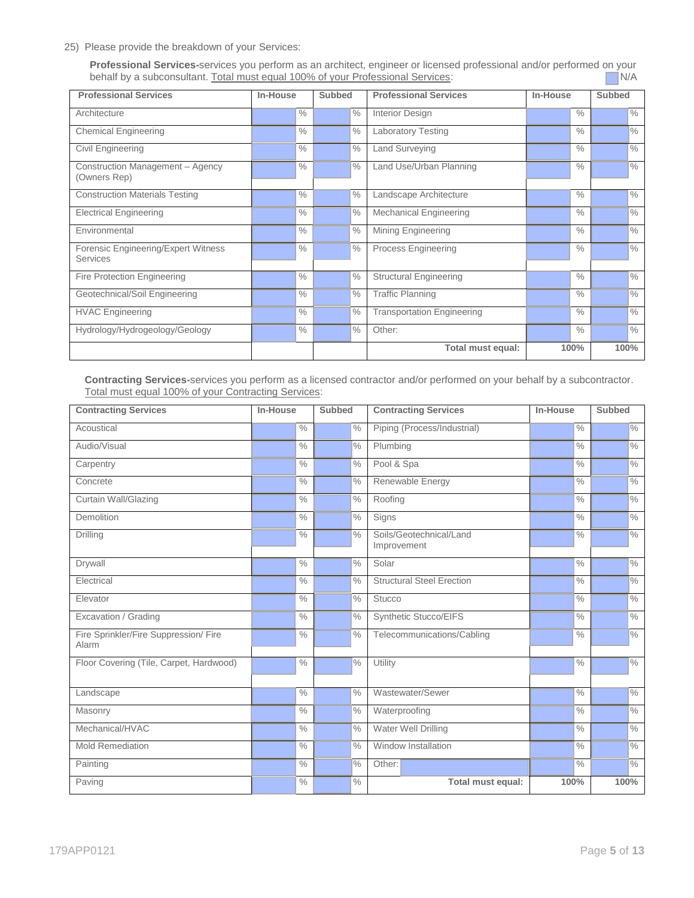25) Please provide the breakdown of your Services:

**Professional Services-**services you perform as an architect, engineer or licensed professional and/or performed on your behalf by a subconsultant. Total must equal 100% of your Professional Services: behalf by a subconsultant. Total must equal 100% of your Professional Services:

| <b>Professional Services</b>                           | In-House      | <b>Subbed</b>   | <b>Professional Services</b>      | In-House      | <b>Subbed</b> |
|--------------------------------------------------------|---------------|-----------------|-----------------------------------|---------------|---------------|
| Architecture                                           | $\%$          | $\frac{0}{0}$   | Interior Design                   | $\frac{0}{0}$ | $\%$          |
| <b>Chemical Engineering</b>                            | $\%$          | $\frac{0}{0}$   | <b>Laboratory Testing</b>         | $\frac{0}{0}$ | $\frac{9}{6}$ |
| Civil Engineering                                      | $\frac{0}{0}$ | $\frac{0}{0}$   | <b>Land Surveying</b>             | $\%$          | $\frac{0}{0}$ |
| Construction Management - Agency<br>(Owners Rep)       | $\frac{0}{0}$ | $\frac{10}{6}$  | Land Use/Urban Planning           | $\frac{0}{0}$ | $\frac{0}{0}$ |
| <b>Construction Materials Testing</b>                  | $\frac{1}{2}$ | $\frac{0}{0}$   | Landscape Architecture            | $\%$          | $\%$          |
| <b>Electrical Engineering</b>                          | $\frac{0}{0}$ | $\frac{1}{2}$ % | <b>Mechanical Engineering</b>     | $\frac{0}{0}$ | $\frac{0}{0}$ |
| Environmental                                          | $\frac{0}{0}$ | $\frac{0}{0}$   | <b>Mining Engineering</b>         | $\%$          | $\frac{0}{0}$ |
| Forensic Engineering/Expert Witness<br><b>Services</b> | $\frac{0}{0}$ | $\frac{0}{0}$   | <b>Process Engineering</b>        | $\frac{0}{0}$ | $\frac{0}{0}$ |
| <b>Fire Protection Engineering</b>                     | $\frac{0}{0}$ | $\frac{0}{0}$   | <b>Structural Engineering</b>     | $\frac{0}{0}$ | $\frac{0}{0}$ |
| Geotechnical/Soil Engineering                          | $\frac{0}{0}$ | $\frac{0}{0}$   | <b>Traffic Planning</b>           | $\%$          | $\%$          |
| <b>HVAC Engineering</b>                                | $\frac{0}{0}$ | $\frac{0}{0}$   | <b>Transportation Engineering</b> | $\frac{0}{0}$ | $\frac{0}{0}$ |
| Hydrology/Hydrogeology/Geology                         | $\frac{0}{0}$ | $\frac{10}{6}$  | Other:                            | $\frac{0}{0}$ | $\frac{0}{0}$ |
|                                                        |               |                 | Total must equal:                 | 100%          | 100%          |

**Contracting Services-**services you perform as a licensed contractor and/or performed on your behalf by a subcontractor. Total must equal 100% of your Contracting Services:

| <b>Contracting Services</b>                    | In-House      | <b>Subbed</b> | <b>Contracting Services</b>            | In-House      | <b>Subbed</b> |
|------------------------------------------------|---------------|---------------|----------------------------------------|---------------|---------------|
| Acoustical                                     | $\frac{0}{0}$ | $\frac{0}{0}$ | Piping (Process/Industrial)            | $\frac{0}{0}$ | $\frac{0}{0}$ |
| Audio/Visual                                   | $\frac{0}{0}$ | $\frac{9}{6}$ | Plumbing                               | $\frac{0}{0}$ | $\frac{0}{0}$ |
| Carpentry                                      | $\frac{0}{0}$ | $\frac{0}{0}$ | Pool & Spa                             | $\frac{0}{0}$ | $\frac{0}{2}$ |
| Concrete                                       | $\frac{0}{0}$ | $\frac{9}{6}$ | Renewable Energy                       | $\frac{0}{0}$ | $\%$          |
| <b>Curtain Wall/Glazing</b>                    | $\frac{0}{0}$ | $\frac{0}{0}$ | Roofing                                | $\frac{0}{0}$ | $\frac{0}{0}$ |
| Demolition                                     | $\frac{0}{0}$ | $\frac{9}{6}$ | Signs                                  | $\frac{0}{0}$ | $\frac{9}{6}$ |
| Drilling                                       | $\frac{0}{0}$ | $\frac{0}{0}$ | Soils/Geotechnical/Land<br>Improvement | $\frac{0}{0}$ | $\frac{0}{0}$ |
| Drywall                                        | $\frac{0}{0}$ | $\frac{0}{0}$ | Solar                                  | $\frac{0}{0}$ | $\frac{0}{0}$ |
| Electrical                                     | $\frac{0}{0}$ | $\frac{0}{0}$ | <b>Structural Steel Erection</b>       | $\frac{0}{0}$ | $\frac{0}{0}$ |
| Elevator                                       | $\frac{0}{0}$ | $\frac{0}{0}$ | <b>Stucco</b>                          | $\frac{0}{0}$ | $\frac{0}{6}$ |
| Excavation / Grading                           | $\frac{0}{0}$ | $\frac{0}{0}$ | Synthetic Stucco/EIFS                  | $\frac{0}{0}$ | $\frac{0}{0}$ |
| Fire Sprinkler/Fire Suppression/ Fire<br>Alarm | $\frac{0}{0}$ | $\frac{0}{0}$ | Telecommunications/Cabling             | $\frac{0}{0}$ | $\frac{1}{2}$ |
| Floor Covering (Tile, Carpet, Hardwood)        | $\frac{0}{0}$ | $\frac{9}{6}$ | Utility                                | $\frac{0}{0}$ | $\%$          |
| Landscape                                      | $\frac{0}{0}$ | $\frac{0}{0}$ | Wastewater/Sewer                       | $\frac{0}{0}$ | $\sqrt{2}$    |
| Masonry                                        | $\frac{0}{0}$ | $\frac{9}{6}$ | Waterproofing                          | $\frac{0}{0}$ | $\frac{0}{0}$ |
| Mechanical/HVAC                                | $\frac{0}{0}$ | $\frac{0}{0}$ | Water Well Drilling                    | $\frac{0}{0}$ | $\frac{0}{0}$ |
| Mold Remediation                               | $\frac{0}{0}$ | $\frac{0}{0}$ | Window Installation                    | $\frac{0}{0}$ | $\frac{9}{6}$ |
| Painting                                       | $\frac{0}{0}$ | $\frac{9}{6}$ | Other:                                 | $\frac{0}{0}$ | $\frac{0}{0}$ |
| Paving                                         | $\frac{0}{0}$ | $\frac{0}{0}$ | Total must equal:                      | 100%          | 100%          |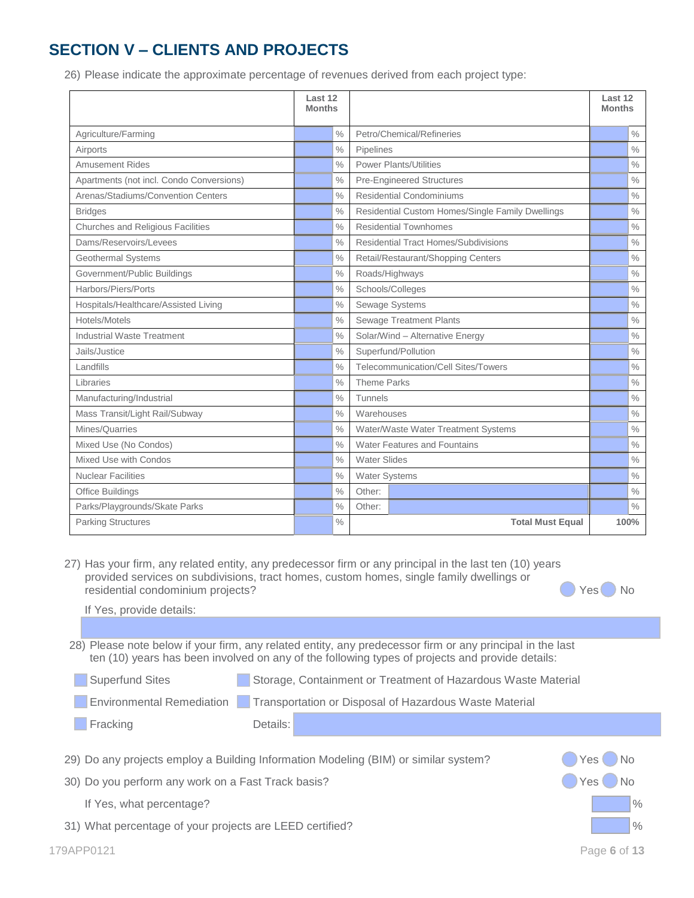## **SECTION V – CLIENTS AND PROJECTS**

26) Please indicate the approximate percentage of revenues derived from each project type:

|                                          | Last 12<br><b>Months</b> |               |                     |                                                  | Last 12<br><b>Months</b> |               |
|------------------------------------------|--------------------------|---------------|---------------------|--------------------------------------------------|--------------------------|---------------|
| Agriculture/Farming                      |                          | $\frac{0}{0}$ |                     | Petro/Chemical/Refineries                        |                          | $\frac{0}{0}$ |
| Airports                                 |                          | $\frac{0}{0}$ | Pipelines           |                                                  |                          | $\frac{0}{0}$ |
| <b>Amusement Rides</b>                   |                          | $\frac{0}{0}$ |                     | <b>Power Plants/Utilities</b>                    |                          | $\%$          |
| Apartments (not incl. Condo Conversions) |                          | $\%$          |                     | <b>Pre-Engineered Structures</b>                 |                          | $\frac{0}{0}$ |
| Arenas/Stadiums/Convention Centers       |                          | $\frac{0}{0}$ |                     | Residential Condominiums                         |                          | $\%$          |
| <b>Bridges</b>                           |                          | $\frac{0}{0}$ |                     | Residential Custom Homes/Single Family Dwellings |                          | $\frac{0}{0}$ |
| Churches and Religious Facilities        |                          | $\frac{0}{0}$ |                     | <b>Residential Townhomes</b>                     |                          | $\%$          |
| Dams/Reservoirs/Levees                   |                          | $\frac{0}{0}$ |                     | Residential Tract Homes/Subdivisions             |                          | $\%$          |
| Geothermal Systems                       |                          | $\%$          |                     | Retail/Restaurant/Shopping Centers               |                          | $\%$          |
| Government/Public Buildings              |                          | $\%$          |                     | Roads/Highways                                   |                          | $\%$          |
| Harbors/Piers/Ports                      |                          | $\%$          |                     | Schools/Colleges                                 |                          | $\%$          |
| Hospitals/Healthcare/Assisted Living     |                          | $\frac{0}{0}$ |                     | Sewage Systems                                   |                          | $\%$          |
| Hotels/Motels                            |                          | $\frac{0}{0}$ |                     | <b>Sewage Treatment Plants</b>                   |                          | $\frac{0}{0}$ |
| Industrial Waste Treatment               |                          | $\frac{0}{0}$ |                     | Solar/Wind - Alternative Energy                  |                          | $\frac{0}{0}$ |
| Jails/Justice                            |                          | $\frac{0}{0}$ |                     | Superfund/Pollution                              |                          | $\%$          |
| Landfills                                |                          | $\frac{0}{0}$ |                     | Telecommunication/Cell Sites/Towers              |                          | $\frac{0}{0}$ |
| Libraries                                |                          | $\frac{0}{0}$ | <b>Theme Parks</b>  |                                                  |                          | $\frac{0}{0}$ |
| Manufacturing/Industrial                 |                          | $\frac{0}{0}$ | <b>Tunnels</b>      |                                                  |                          | $\%$          |
| Mass Transit/Light Rail/Subway           |                          | $\frac{0}{0}$ | Warehouses          |                                                  |                          | $\%$          |
| Mines/Quarries                           |                          | $\frac{0}{0}$ |                     | Water/Waste Water Treatment Systems              |                          | $\%$          |
| Mixed Use (No Condos)                    |                          | $\frac{0}{0}$ |                     | Water Features and Fountains                     |                          | $\%$          |
| Mixed Use with Condos                    |                          | $\frac{0}{0}$ | <b>Water Slides</b> |                                                  |                          | $\%$          |
| <b>Nuclear Facilities</b>                |                          | $\%$          | Water Systems       |                                                  |                          | $\%$          |
| Office Buildings                         |                          | $\frac{0}{0}$ | Other:              |                                                  |                          | $\frac{0}{0}$ |
| Parks/Playgrounds/Skate Parks            |                          | $\%$          | Other:              |                                                  |                          | $\%$          |
| <b>Parking Structures</b>                |                          | $\frac{0}{0}$ |                     | <b>Total Must Equal</b>                          |                          | 100%          |

27) Has your firm, any related entity, any predecessor firm or any principal in the last ten (10) years provided services on subdivisions, tract homes, custom homes, single family dwellings or residential condominium projects?

| Yes | <b>No</b> |
|-----|-----------|
|     |           |

| If Yes, provide details:                                 |                                                                                                                                                                                                              |               |
|----------------------------------------------------------|--------------------------------------------------------------------------------------------------------------------------------------------------------------------------------------------------------------|---------------|
|                                                          |                                                                                                                                                                                                              |               |
|                                                          | 28) Please note below if your firm, any related entity, any predecessor firm or any principal in the last<br>ten (10) years has been involved on any of the following types of projects and provide details: |               |
| <b>Superfund Sites</b>                                   | Storage, Containment or Treatment of Hazardous Waste Material                                                                                                                                                |               |
| Environmental Remediation                                | Transportation or Disposal of Hazardous Waste Material                                                                                                                                                       |               |
| Fracking                                                 | Details:                                                                                                                                                                                                     |               |
|                                                          |                                                                                                                                                                                                              |               |
|                                                          | 29) Do any projects employ a Building Information Modeling (BIM) or similar system?                                                                                                                          | → No<br>Yes ( |
| 30) Do you perform any work on a Fast Track basis?       |                                                                                                                                                                                                              | No<br>Yes     |
| If Yes, what percentage?                                 |                                                                                                                                                                                                              | $\%$          |
| 31) What percentage of your projects are LEED certified? |                                                                                                                                                                                                              | $\frac{0}{0}$ |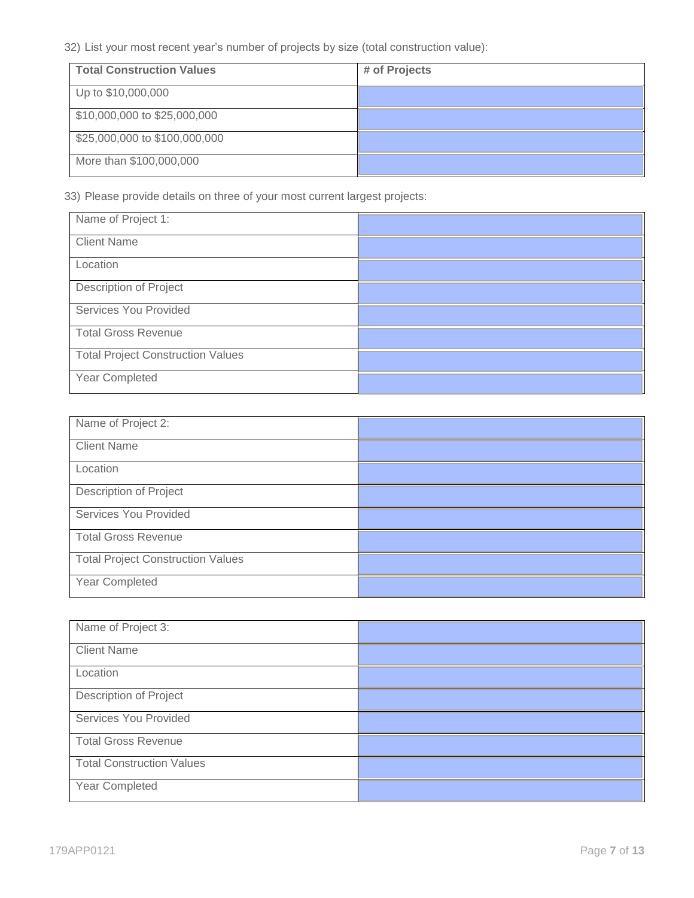32) List your most recent year's number of projects by size (total construction value):

| <b>Total Construction Values</b> | # of Projects |
|----------------------------------|---------------|
| Up to \$10,000,000               |               |
| \$10,000,000 to \$25,000,000     |               |
| \$25,000,000 to \$100,000,000    |               |
| More than \$100,000,000          |               |

33) Please provide details on three of your most current largest projects:

| Name of Project 1:                       |  |
|------------------------------------------|--|
| <b>Client Name</b>                       |  |
| Location                                 |  |
| <b>Description of Project</b>            |  |
| Services You Provided                    |  |
| <b>Total Gross Revenue</b>               |  |
| <b>Total Project Construction Values</b> |  |
| Year Completed                           |  |

| Name of Project 2:                       |  |
|------------------------------------------|--|
| <b>Client Name</b>                       |  |
| Location                                 |  |
| <b>Description of Project</b>            |  |
| Services You Provided                    |  |
| <b>Total Gross Revenue</b>               |  |
| <b>Total Project Construction Values</b> |  |
| Year Completed                           |  |

| Name of Project 3:               |  |
|----------------------------------|--|
| <b>Client Name</b>               |  |
| Location                         |  |
| <b>Description of Project</b>    |  |
| Services You Provided            |  |
| <b>Total Gross Revenue</b>       |  |
| <b>Total Construction Values</b> |  |
| Year Completed                   |  |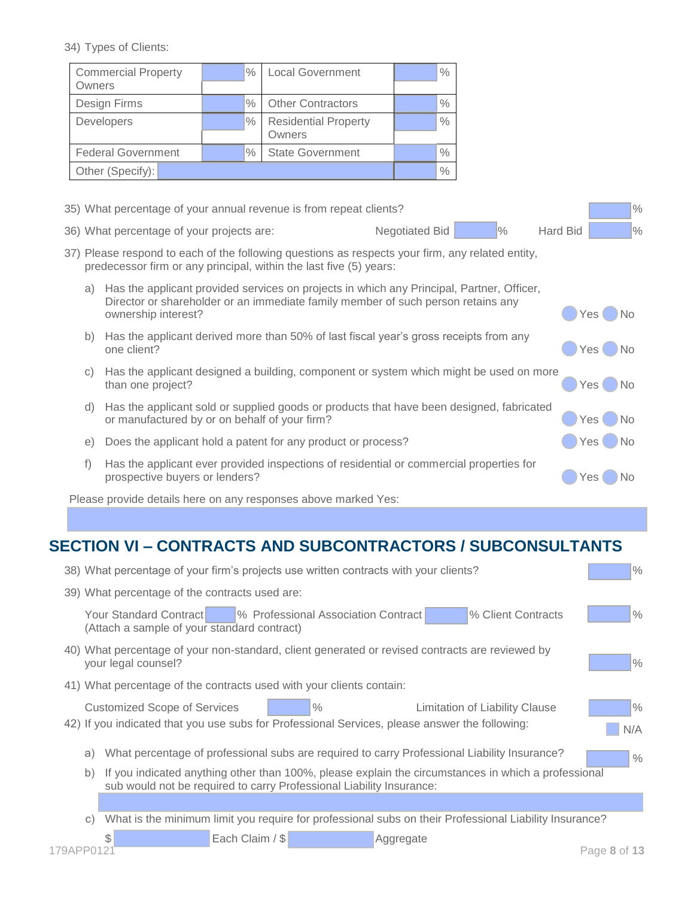34) Types of Clients:

| <b>Commercial Property</b><br>Owners | $\%$          | <b>Local Government</b>               | $\%$          |
|--------------------------------------|---------------|---------------------------------------|---------------|
| Design Firms                         | $\frac{0}{0}$ | <b>Other Contractors</b>              | $\%$          |
| <b>Developers</b>                    | $\frac{0}{0}$ | <b>Residential Property</b><br>Owners | $\frac{0}{0}$ |
| <b>Federal Government</b>            | $\%$          | <b>State Government</b>               | $\frac{0}{0}$ |
| Other (Specify):                     |               |                                       | $\frac{0}{0}$ |

|    | 35) What percentage of your annual revenue is from repeat clients?                                                                                                                                   |                                        | $\%$                      |
|----|------------------------------------------------------------------------------------------------------------------------------------------------------------------------------------------------------|----------------------------------------|---------------------------|
|    | 36) What percentage of your projects are:                                                                                                                                                            | $\frac{9}{6}$<br><b>Negotiated Bid</b> | Hard Bid<br>$\frac{9}{6}$ |
|    | 37) Please respond to each of the following questions as respects your firm, any related entity,<br>predecessor firm or any principal, within the last five (5) years:                               |                                        |                           |
| a) | Has the applicant provided services on projects in which any Principal, Partner, Officer,<br>Director or shareholder or an immediate family member of such person retains any<br>ownership interest? |                                        | No<br>Yes I               |
| b) | Has the applicant derived more than 50% of last fiscal year's gross receipts from any<br>one client?                                                                                                 |                                        | <b>No</b><br>Yes          |
| C) | Has the applicant designed a building, component or system which might be used on more<br>than one project?                                                                                          |                                        | <b>No</b><br>Yes (        |
| d) | Has the applicant sold or supplied goods or products that have been designed, fabricated<br>or manufactured by or on behalf of your firm?                                                            |                                        | No<br>Yes (               |
| e) | Does the applicant hold a patent for any product or process?                                                                                                                                         |                                        | → No<br>Yes (             |
| f) | Has the applicant ever provided inspections of residential or commercial properties for<br>prospective buyers or lenders?                                                                            |                                        | NΩ<br>Yes                 |

Please provide details here on any responses above marked Yes:

## **SECTION VI – CONTRACTS AND SUBCONTRACTORS / SUBCONSULTANTS**

|           | $\frac{0}{0}$<br>38) What percentage of your firm's projects use written contracts with your clients?                                                                                                          |
|-----------|----------------------------------------------------------------------------------------------------------------------------------------------------------------------------------------------------------------|
|           | 39) What percentage of the contracts used are:                                                                                                                                                                 |
|           | Your Standard Contract<br>% Client Contracts<br>$\%$<br>% Professional Association Contract<br>(Attach a sample of your standard contract)                                                                     |
|           | 40) What percentage of your non-standard, client generated or revised contracts are reviewed by<br>$\frac{9}{6}$<br>your legal counsel?                                                                        |
|           | 41) What percentage of the contracts used with your clients contain:                                                                                                                                           |
|           | $\frac{0}{0}$<br>$\%$<br><b>Customized Scope of Services</b><br><b>Limitation of Liability Clause</b><br>42) If you indicated that you use subs for Professional Services, please answer the following:<br>N/A |
| a)        | What percentage of professional subs are required to carry Professional Liability Insurance?<br>$\frac{0}{0}$                                                                                                  |
| b)        | If you indicated anything other than 100%, please explain the circumstances in which a professional<br>sub would not be required to carry Professional Liability Insurance:                                    |
|           |                                                                                                                                                                                                                |
| $\circ$ ) | What is the minimum limit you require for professional subs on their Professional Liability Insurance?                                                                                                         |
| 179APP012 | Each Claim / \$<br>\$.<br>Aggregate<br>Page 8 of 13                                                                                                                                                            |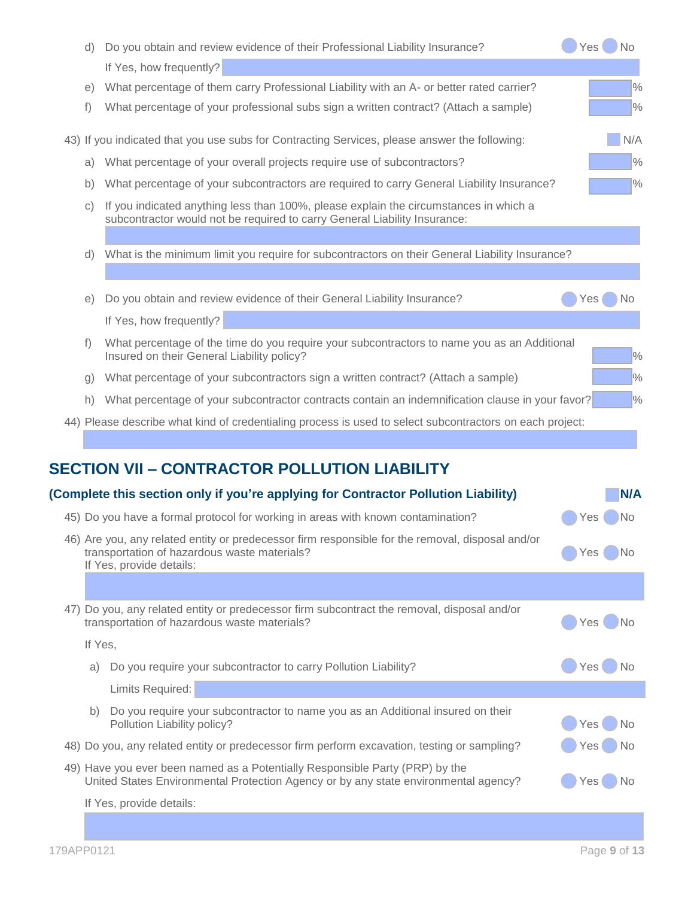| d)              | Do you obtain and review evidence of their Professional Liability Insurance?                                                                                                 |       | Yes()No       |
|-----------------|------------------------------------------------------------------------------------------------------------------------------------------------------------------------------|-------|---------------|
|                 | If Yes, how frequently?                                                                                                                                                      |       |               |
| e)              | What percentage of them carry Professional Liability with an A- or better rated carrier?                                                                                     |       | $\frac{0}{0}$ |
| f)              | What percentage of your professional subs sign a written contract? (Attach a sample)                                                                                         |       | $\frac{0}{0}$ |
|                 | 43) If you indicated that you use subs for Contracting Services, please answer the following:                                                                                |       | N/A           |
| a)              | What percentage of your overall projects require use of subcontractors?                                                                                                      |       | $\frac{0}{0}$ |
| b)              | What percentage of your subcontractors are required to carry General Liability Insurance?                                                                                    |       | $\frac{0}{0}$ |
| $\mathcal{C}$ ) | If you indicated anything less than 100%, please explain the circumstances in which a<br>subcontractor would not be required to carry General Liability Insurance:           |       |               |
| d)              | What is the minimum limit you require for subcontractors on their General Liability Insurance?                                                                               |       |               |
| e)              | Do you obtain and review evidence of their General Liability Insurance?                                                                                                      | Yes   | No.           |
|                 | If Yes, how frequently?                                                                                                                                                      |       |               |
| f)              | What percentage of the time do you require your subcontractors to name you as an Additional<br>Insured on their General Liability policy?                                    |       | $\frac{1}{2}$ |
| g)              | What percentage of your subcontractors sign a written contract? (Attach a sample)                                                                                            |       | $\frac{9}{6}$ |
| h)              | What percentage of your subcontractor contracts contain an indemnification clause in your favor?                                                                             |       | $\frac{9}{6}$ |
|                 | 44) Please describe what kind of credentialing process is used to select subcontractors on each project:<br><b>SECTION VII - CONTRACTOR POLLUTION LIABILITY</b>              |       |               |
|                 | (Complete this section only if you're applying for Contractor Pollution Liability)                                                                                           |       | N/A           |
|                 | 45) Do you have a formal protocol for working in areas with known contamination?                                                                                             | Yes   | ۱No           |
|                 | 46) Are you, any related entity or predecessor firm responsible for the removal, disposal and/or<br>transportation of hazardous waste materials?<br>If Yes, provide details: | Yes   | )No           |
|                 |                                                                                                                                                                              |       |               |
|                 | 47) Do you, any related entity or predecessor firm subcontract the removal, disposal and/or<br>transportation of hazardous waste materials?                                  |       | Yes No        |
| If Yes,         |                                                                                                                                                                              |       |               |
| a)              | Do you require your subcontractor to carry Pollution Liability?                                                                                                              |       | Yes()No       |
|                 | Limits Required:                                                                                                                                                             |       |               |
| b)              | Do you require your subcontractor to name you as an Additional insured on their<br>Pollution Liability policy?                                                               | Yes   | No            |
|                 | 48) Do you, any related entity or predecessor firm perform excavation, testing or sampling?                                                                                  | Yes ( | →) No         |
|                 | 49) Have you ever been named as a Potentially Responsible Party (PRP) by the<br>United States Environmental Protection Agency or by any state environmental agency?          | Yes ( | ⊝ No          |
|                 | If Yes, provide details:                                                                                                                                                     |       |               |
|                 |                                                                                                                                                                              |       |               |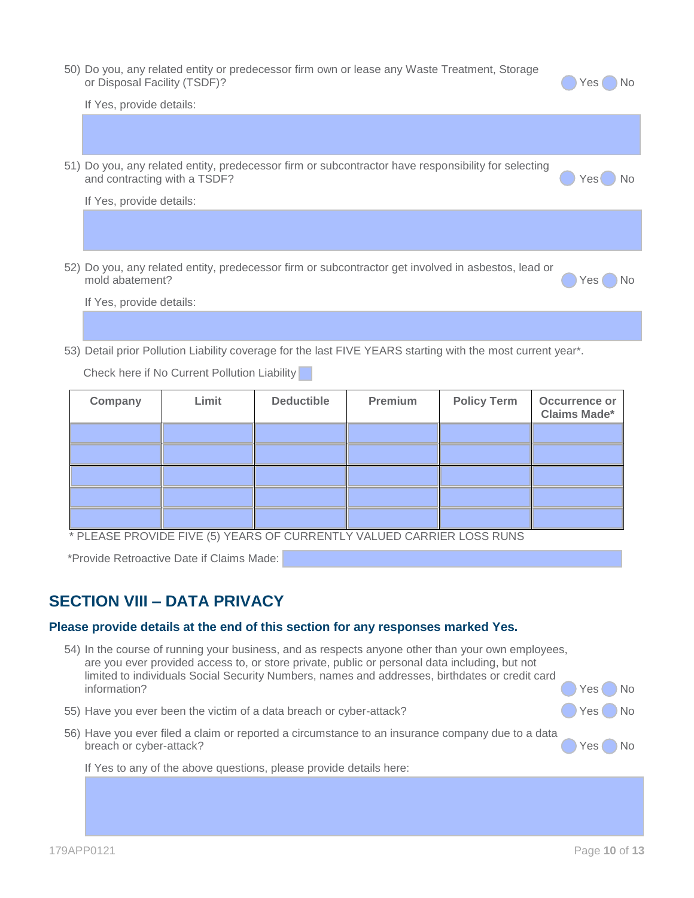| 50) Do you, any related entity or predecessor firm own or lease any Waste Treatment, Storage |        |  |
|----------------------------------------------------------------------------------------------|--------|--|
| or Disposal Facility (TSDF)?                                                                 | Yes No |  |

| If Yes, provide details:                                                                                                            |                  |
|-------------------------------------------------------------------------------------------------------------------------------------|------------------|
|                                                                                                                                     |                  |
| 51) Do you, any related entity, predecessor firm or subcontractor have responsibility for selecting<br>and contracting with a TSDF? | <b>No</b><br>Yes |
| If Yes, provide details:                                                                                                            |                  |
|                                                                                                                                     |                  |
| 52) Do you, any related entity, predecessor firm or subcontractor get involved in asbestos, lead or<br>mold abatement?              | Yes              |

If Yes, provide details:

53) Detail prior Pollution Liability coverage for the last FIVE YEARS starting with the most current year\*.

Check here if No Current Pollution Liability

| Company | Limit | <b>Deductible</b> | Premium | <b>Policy Term</b> | Occurrence or<br><b>Claims Made*</b> |
|---------|-------|-------------------|---------|--------------------|--------------------------------------|
|         |       |                   |         |                    |                                      |
|         |       |                   |         |                    |                                      |
|         |       |                   |         |                    |                                      |
|         |       |                   |         |                    |                                      |
|         |       |                   |         |                    |                                      |

\* PLEASE PROVIDE FIVE (5) YEARS OF CURRENTLY VALUED CARRIER LOSS RUNS

\*Provide Retroactive Date if Claims Made:

## **SECTION VIII – DATA PRIVACY**

#### **Please provide details at the end of this section for any responses marked Yes.**

- 54) In the course of running your business, and as respects anyone other than your own employees, are you ever provided access to, or store private, public or personal data including, but not limited to individuals Social Security Numbers, names and addresses, birthdates or credit card information? No result to the contract of the contract of the contract of the contract of the contract of the contract of the contract of the contract of the contract of the contract of the contract of the contract of the
- 55) Have you ever been the victim of a data breach or cyber-attack? (Second No. 2015) Yes No.
- 56) Have you ever filed a claim or reported a circumstance to an insurance company due to a data breach or cyber-attack? No we have a set of the set of the set of the set of the set of the set of the set of the set of the set of the set of the set of the set of the set of the set of the set of the set of the set of th

If Yes to any of the above questions, please provide details here: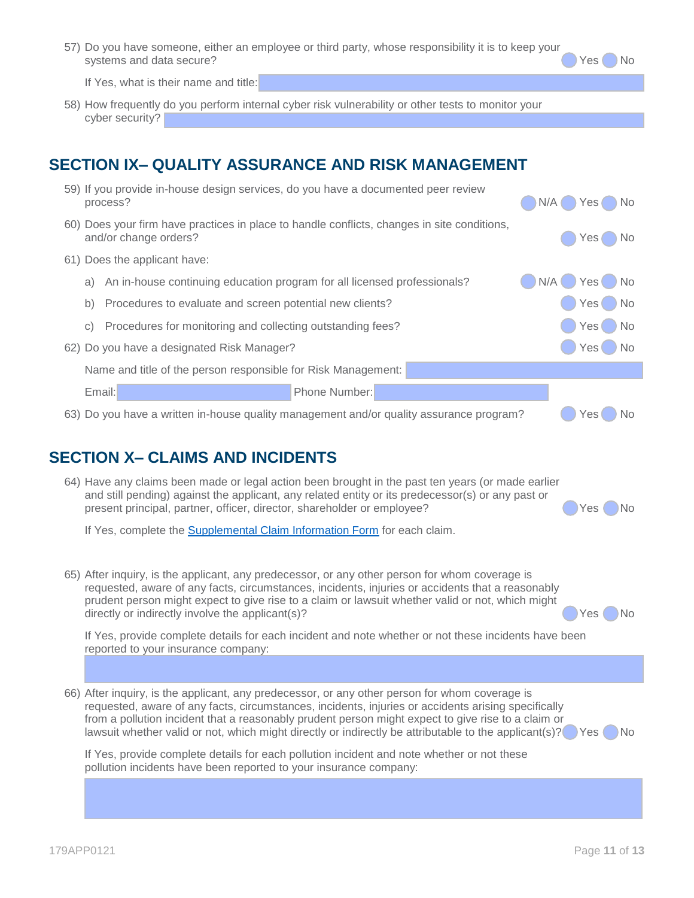57) Do you have someone, either an employee or third party, whose responsibility it is to keep your systems and data secure? The systems and data secure?

If Yes, what is their name and title:

58) How frequently do you perform internal cyber risk vulnerability or other tests to monitor your cyber security?

## **SECTION IX– QUALITY ASSURANCE AND RISK MANAGEMENT**

|           | process?                                                                 | 59) If you provide in-house design services, do you have a documented peer review           | N/A | $\bigcap$ No<br>Yes (        |
|-----------|--------------------------------------------------------------------------|---------------------------------------------------------------------------------------------|-----|------------------------------|
|           | and/or change orders?                                                    | 60) Does your firm have practices in place to handle conflicts, changes in site conditions, |     | $\bigcap$ No<br>Yes (        |
|           | 61) Does the applicant have:                                             |                                                                                             |     |                              |
| a)        | An in-house continuing education program for all licensed professionals? |                                                                                             | N/A | $\bigcirc$ Yes $\bigcirc$ No |
| b)        | Procedures to evaluate and screen potential new clients?                 |                                                                                             |     | Yes No                       |
| $\circ$ ) | Procedures for monitoring and collecting outstanding fees?               |                                                                                             |     | Yes (<br>$\Box$ No           |
|           | 62) Do you have a designated Risk Manager?                               |                                                                                             |     | Yes (<br>$\bigcirc$ No       |
|           | Name and title of the person responsible for Risk Management:            |                                                                                             |     |                              |
|           | Email:                                                                   | Phone Number:                                                                               |     |                              |
|           |                                                                          | 63) Do you have a written in-house quality management and/or quality assurance program?     |     | Yes <sup></sup><br>No.       |

#### **SECTION X– CLAIMS AND INCIDENTS**

| 64) Have any claims been made or legal action been brought in the past ten years (or made earlier                                                                            |                              |
|------------------------------------------------------------------------------------------------------------------------------------------------------------------------------|------------------------------|
| and still pending) against the applicant, any related entity or its predecessor(s) or any past or<br>present principal, partner, officer, director, shareholder or employee? | $\bigcirc$ Yes $\bigcirc$ No |
|                                                                                                                                                                              |                              |

If Yes, complete the [Supplemental Claim Information Form](https://www.admiralins.com/wp-content/uploads/2020/02/Supplemental-Claim-Information-Form-142APP0220.pdf) for each claim.

65) After inquiry, is the applicant, any predecessor, or any other person for whom coverage is requested, aware of any facts, circumstances, incidents, injuries or accidents that a reasonably prudent person might expect to give rise to a claim or lawsuit whether valid or not, which might directly or indirectly involve the applicant(s)?

If Yes, provide complete details for each incident and note whether or not these incidents have been reported to your insurance company:

66) After inquiry, is the applicant, any predecessor, or any other person for whom coverage is requested, aware of any facts, circumstances, incidents, injuries or accidents arising specifically from a pollution incident that a reasonably prudent person might expect to give rise to a claim or lawsuit whether valid or not, which might directly or indirectly be attributable to the applicant(s)? Yes No

If Yes, provide complete details for each pollution incident and note whether or not these pollution incidents have been reported to your insurance company: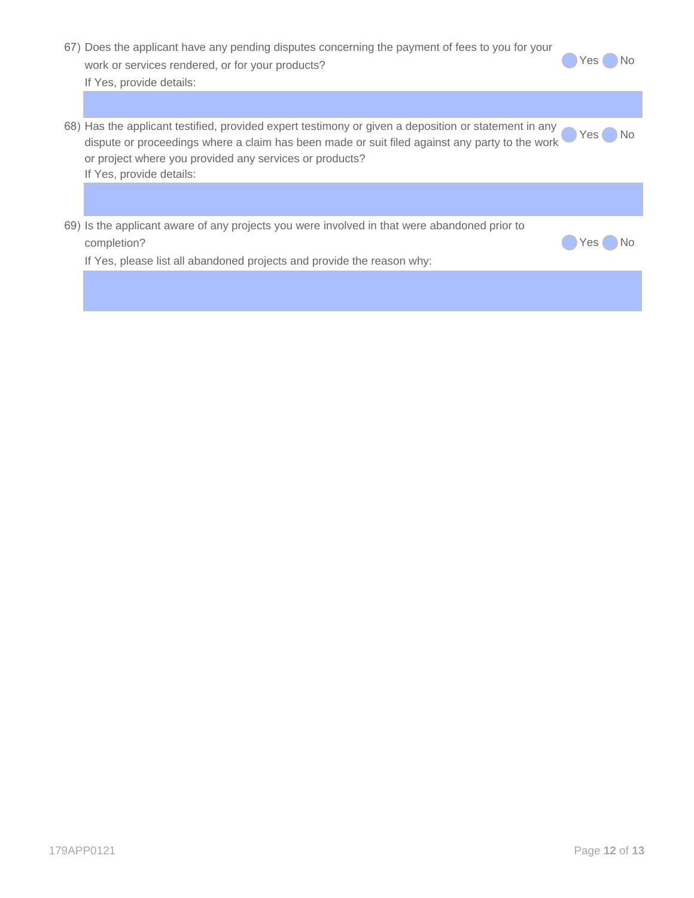| 67) Does the applicant have any pending disputes concerning the payment of fees to you for your |  |                              |  |  |  |
|-------------------------------------------------------------------------------------------------|--|------------------------------|--|--|--|
| work or services rendered, or for your products?                                                |  | $\bigcirc$ Yes $\bigcirc$ No |  |  |  |
| If Yes, provide details:                                                                        |  |                              |  |  |  |
|                                                                                                 |  |                              |  |  |  |

| 58) Has the applicant testified, provided expert testimony or given a deposition or statement in any Yes No |  |
|-------------------------------------------------------------------------------------------------------------|--|
| dispute or proceedings where a claim has been made or suit filed against any party to the work              |  |
| or project where you provided any services or products?                                                     |  |
| If Yes, provide details:                                                                                    |  |
|                                                                                                             |  |

| 69) Is the applicant aware of any projects you were involved in that were abandoned prior to |  |  |
|----------------------------------------------------------------------------------------------|--|--|
| completion?                                                                                  |  |  |

If Yes, please list all abandoned projects and provide the reason why:

**O**Yes No